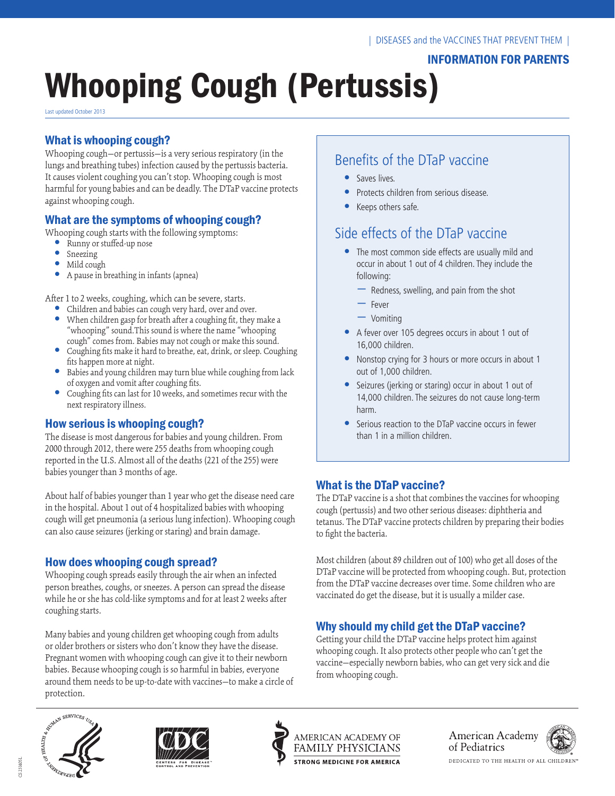# INFORMATION FOR PARENTS

# Whooping Cough (Pertussis)

Last updated October 2013

# What is whooping cough?

Whooping cough—or pertussis—is a very serious respiratory (in the lungs and breathing tubes) infection caused by the pertussis bacteria. It causes violent coughing you can't stop. Whooping cough is most harmful for young babies and can be deadly. The DTaP vaccine protects against whooping cough.

# What are the symptoms of whooping cough?

Whooping cough starts with the following symptoms:

- **•**  Runny or stuffed-up nose
- **•**  Sneezing
- **•**  Mild cough
- **•**  A pause in breathing in infants (apnea)

After 1 to 2 weeks, coughing, which can be severe, starts.

- **•**  Children and babies can cough very hard, over and over. • When children gasp for breath after a coughing fit, they make a
- "whooping" sound.This sound is where the name "whooping cough" comes from. Babies may not cough or make this sound.
- **•**  Coughing fits make it hard to breathe, eat, drink, or sleep. Coughing fits happen more at night.
- Babies and young children may turn blue while coughing from lack of oxygen and vomit after coughing fits.
- Coughing fits can last for 10 weeks, and sometimes recur with the next respiratory illness.

# How serious is whooping cough?

The disease is most dangerous for babies and young children. From 2000 through 2012, there were 255 deaths from whooping cough reported in the U.S. Almost all of the deaths (221 of the 255) were babies younger than 3 months of age.

About half of babies younger than 1 year who get the disease need care in the hospital. About 1 out of 4 hospitalized babies with whooping cough will get pneumonia (a serious lung infection). Whooping cough can also cause seizures (jerking or staring) and brain damage.

# How does whooping cough spread?

Whooping cough spreads easily through the air when an infected person breathes, coughs, or sneezes. A person can spread the disease while he or she has cold-like symptoms and for at least 2 weeks after coughing starts.

Many babies and young children get whooping cough from adults or older brothers or sisters who don't know they have the disease. Pregnant women with whooping cough can give it to their newborn babies. Because whooping cough is so harmful in babies, everyone around them needs to be up-to-date with vaccines—to make a circle of

# Benefits of the DTaP vaccine

- **•**  Saves lives.
- **Protects children from serious disease.**
- **•**  Keeps others safe.

# Side effects of the DTaP vaccine

- The most common side effects are usually mild and occur in about 1 out of 4 children. They include the following:
	- Redness, swelling, and pain from the shot
	- Fever
	- Vomiting
- **•**  A fever over 105 degrees occurs in about 1 out of 16,000 children.
- **•**  Nonstop crying for 3 hours or more occurs in about 1 out of 1,000 children.
- **•**  Seizures (jerking or staring) occur in about 1 out of 14,000 children. The seizures do not cause long-term harm.
- **•**  Serious reaction to the DTaP vaccine occurs in fewer than 1 in a million children.

# What is the DTaP vaccine?

The DTaP vaccine is a shot that combines the vaccines for whooping cough (pertussis) and two other serious diseases: diphtheria and tetanus. The DTaP vaccine protects children by preparing their bodies to fight the bacteria.

Most children (about 89 children out of 100) who get all doses of the DTaP vaccine will be protected from whooping cough. But, protection from the DTaP vaccine decreases over time. Some children who are vaccinated do get the disease, but it is usually a milder case.

# Why should my child get the DTaP vaccine?

Getting your child the DTaP vaccine helps protect him against whooping cough. It also protects other people who can't get the vaccine—especially newborn babies, who can get very sick and die from whooping cough.









American Academy of Pediatrics